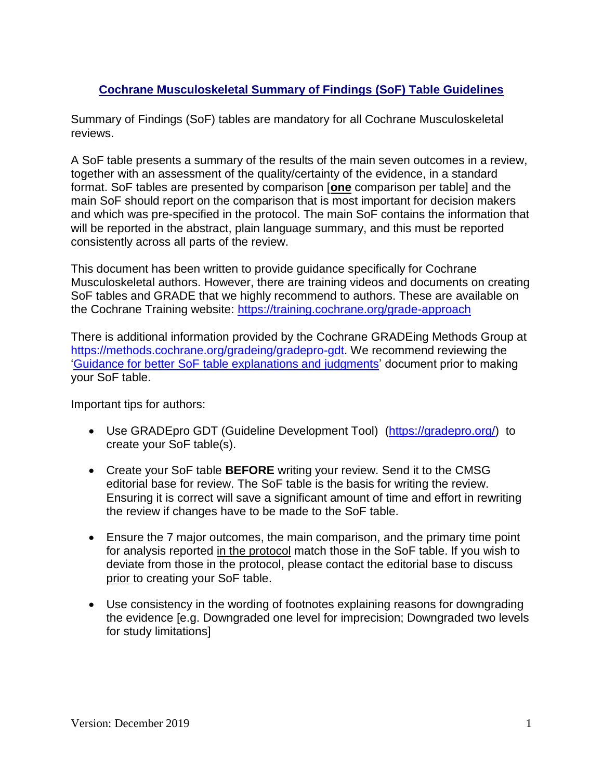# **Cochrane Musculoskeletal Summary of Findings (SoF) Table Guidelines**

Summary of Findings (SoF) tables are mandatory for all Cochrane Musculoskeletal reviews.

A SoF table presents a summary of the results of the main seven outcomes in a review, together with an assessment of the quality/certainty of the evidence, in a standard format. SoF tables are presented by comparison [**one** comparison per table] and the main SoF should report on the comparison that is most important for decision makers and which was pre-specified in the protocol. The main SoF contains the information that will be reported in the abstract, plain language summary, and this must be reported consistently across all parts of the review.

This document has been written to provide guidance specifically for Cochrane Musculoskeletal authors. However, there are training videos and documents on creating SoF tables and GRADE that we highly recommend to authors. These are available on the Cochrane Training website:<https://training.cochrane.org/grade-approach>

There is additional information provided by the Cochrane GRADEing Methods Group at [https://methods.cochrane.org/gradeing/gradepro-gdt.](https://methods.cochrane.org/gradeing/gradepro-gdt) We recommend reviewing the ['Guidance for better SoF table explanations and judgments'](https://methods.cochrane.org/gradeing/sites/methods.cochrane.org.gradeing/files/public/uploads/Files/Update%20on%20GRADEpro.pdf) document prior to making your SoF table.

Important tips for authors:

- Use GRADEpro GDT (Guideline Development Tool) [\(https://gradepro.org/\)](https://gradepro.org/) to create your SoF table(s).
- Create your SoF table **BEFORE** writing your review. Send it to the CMSG editorial base for review. The SoF table is the basis for writing the review. Ensuring it is correct will save a significant amount of time and effort in rewriting the review if changes have to be made to the SoF table.
- Ensure the 7 major outcomes, the main comparison, and the primary time point for analysis reported in the protocol match those in the SoF table. If you wish to deviate from those in the protocol, please contact the editorial base to discuss prior to creating your SoF table.
- Use consistency in the wording of footnotes explaining reasons for downgrading the evidence [e.g. Downgraded one level for imprecision; Downgraded two levels for study limitations]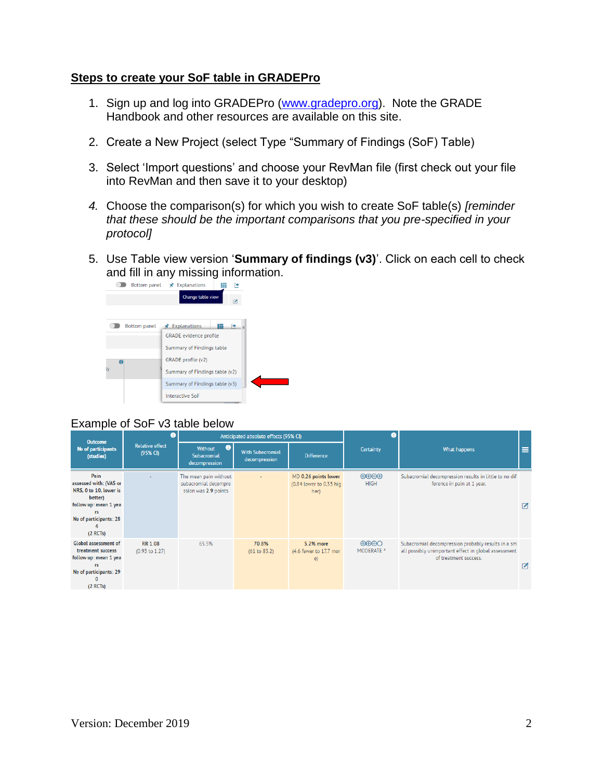## **Steps to create your SoF table in GRADEPro**

- 1. Sign up and log into GRADEPro [\(www.gradepro.org\)](http://www.gradepro.org/). Note the GRADE Handbook and other resources are available on this site.
- 2. Create a New Project (select Type "Summary of Findings (SoF) Table)
- 3. Select 'Import questions' and choose your RevMan file (first check out your file into RevMan and then save it to your desktop)
- *4.* Choose the comparison(s) for which you wish to create SoF table(s) *[reminder that these should be the important comparisons that you pre-specified in your protocol]*
- 5. Use Table view version '**Summary of findings (v3)**'. Click on each cell to check and fill in any missing information.<br>  $\begin{array}{c|c}\n\hline\n\end{array}$  Bottom panel  $\star$  Explanations



# Example of SoF v3 table below

| <b>Outcome</b>                                                                                                                           |                                             | Anticipated absolute effects (95% CI)                                 |                                          |                                                         |                                                                   |                                                                                                                                     |                |
|------------------------------------------------------------------------------------------------------------------------------------------|---------------------------------------------|-----------------------------------------------------------------------|------------------------------------------|---------------------------------------------------------|-------------------------------------------------------------------|-------------------------------------------------------------------------------------------------------------------------------------|----------------|
| No of participants<br>(studies)                                                                                                          | <b>Relative effect</b><br>(95% CI)          | $\bullet$<br>Without<br>Subacromial<br>decompression                  | <b>With Subacromial</b><br>decompression | <b>Difference</b>                                       | Certainty                                                         | What happens                                                                                                                        |                |
| Pain<br>assessed with: (VAS or<br>NRS, 0 to 10, lower is<br>better)<br>follow up: mean 1 yea<br>rs<br>No of participants: 28<br>(2 RCTs) |                                             | The mean pain without<br>subacromial decompre<br>ssion was 2.9 points |                                          | MD 0.26 points lower<br>(0.84 lower to 0.33 hig<br>her) | $\bigoplus\bigoplus\bigoplus$<br><b>HIGH</b>                      | Subacromial decompression results in little to no dif<br>ference in pain at 1 year.                                                 | $\blacksquare$ |
| <b>Global assessment of</b><br>treatment success<br>follow up: mean 1 yea<br>rs<br>No of participants: 29<br>(2 RCTs)                    | <b>RR 1.08</b><br>$(0.93 \text{ to } 1.27)$ | 65.5%                                                                 | 70.8%<br>(61 to 83.2)                    | 5.2% more<br>(4.6 fewer to 17.7 mor<br>$\epsilon$       | $\bigoplus \bigoplus \bigoplus \bigodot$<br>MODERATE <sup>a</sup> | Subacromial decompression probably results in a sm<br>all possibly unimportant effect in global assessment<br>of treatment success. | $\blacksquare$ |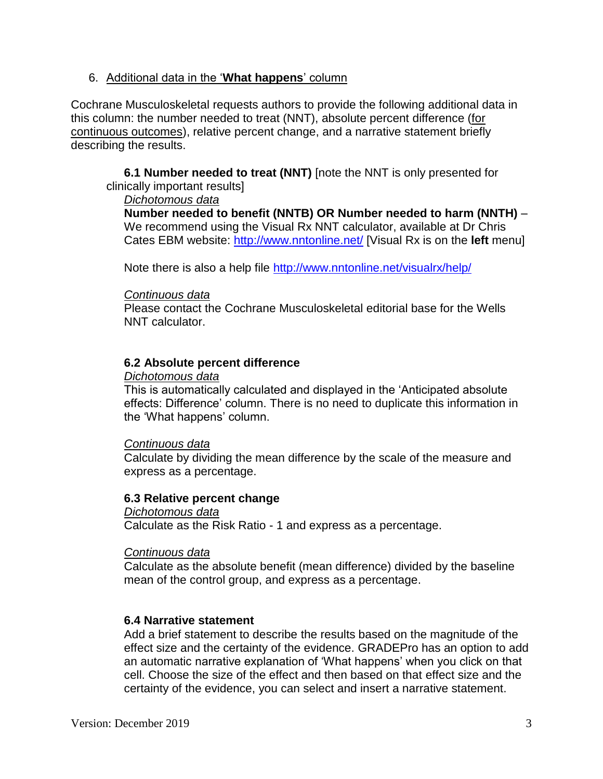## 6. Additional data in the '**What happens**' column

Cochrane Musculoskeletal requests authors to provide the following additional data in this column: the number needed to treat (NNT), absolute percent difference (for continuous outcomes), relative percent change, and a narrative statement briefly describing the results.

**6.1 Number needed to treat (NNT)** [note the NNT is only presented for clinically important results]

#### *Dichotomous data*

**Number needed to benefit (NNTB) OR Number needed to harm (NNTH)** – We recommend using the Visual Rx NNT calculator, available at Dr Chris Cates EBM website:<http://www.nntonline.net/> [Visual Rx is on the **left** menu]

Note there is also a help file<http://www.nntonline.net/visualrx/help/>

#### *Continuous data*

Please contact the Cochrane Musculoskeletal editorial base for the Wells NNT calculator.

## **6.2 Absolute percent difference**

#### *Dichotomous data*

This is automatically calculated and displayed in the 'Anticipated absolute effects: Difference' column. There is no need to duplicate this information in the 'What happens' column.

#### *Continuous data*

Calculate by dividing the mean difference by the scale of the measure and express as a percentage.

## **6.3 Relative percent change**

*Dichotomous data* Calculate as the Risk Ratio - 1 and express as a percentage.

#### *Continuous data*

Calculate as the absolute benefit (mean difference) divided by the baseline mean of the control group, and express as a percentage.

## **6.4 Narrative statement**

Add a brief statement to describe the results based on the magnitude of the effect size and the certainty of the evidence. GRADEPro has an option to add an automatic narrative explanation of 'What happens' when you click on that cell. Choose the size of the effect and then based on that effect size and the certainty of the evidence, you can select and insert a narrative statement.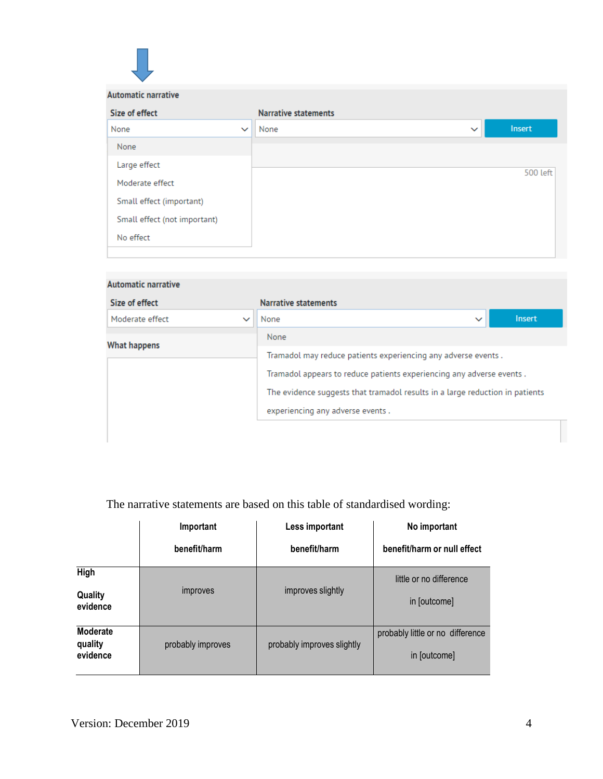| <b>Automatic narrative</b>   |              |                             |              |                 |
|------------------------------|--------------|-----------------------------|--------------|-----------------|
| Size of effect               |              | <b>Narrative statements</b> |              |                 |
| None                         | $\checkmark$ | None                        | $\checkmark$ | Insert          |
| None                         |              |                             |              |                 |
| Large effect                 |              |                             |              | <b>500 left</b> |
| Moderate effect              |              |                             |              |                 |
| Small effect (important)     |              |                             |              |                 |
| Small effect (not important) |              |                             |              |                 |
| No effect                    |              |                             |              |                 |
|                              |              |                             |              |                 |

| <b>Automatic narrative</b> |              |                                                                              |  |              |               |
|----------------------------|--------------|------------------------------------------------------------------------------|--|--------------|---------------|
| Size of effect             |              | <b>Narrative statements</b>                                                  |  |              |               |
| Moderate effect            | $\checkmark$ | None                                                                         |  | $\checkmark$ | <b>Insert</b> |
| What happens               |              | None                                                                         |  |              |               |
|                            |              | Tramadol may reduce patients experiencing any adverse events.                |  |              |               |
|                            |              | Tramadol appears to reduce patients experiencing any adverse events.         |  |              |               |
|                            |              | The evidence suggests that tramadol results in a large reduction in patients |  |              |               |
|                            |              | experiencing any adverse events.                                             |  |              |               |
|                            |              |                                                                              |  |              |               |
|                            |              |                                                                              |  |              |               |

# The narrative statements are based on this table of standardised wording:

|                                 | Important         | Less important             | No important                                     |  |  |
|---------------------------------|-------------------|----------------------------|--------------------------------------------------|--|--|
|                                 | benefit/harm      | benefit/harm               | benefit/harm or null effect                      |  |  |
| High<br>Quality<br>evidence     | improves          | improves slightly          | little or no difference<br>in [outcome]          |  |  |
| Moderate<br>quality<br>evidence | probably improves | probably improves slightly | probably little or no difference<br>in [outcome] |  |  |

 $\overline{\phantom{a}}$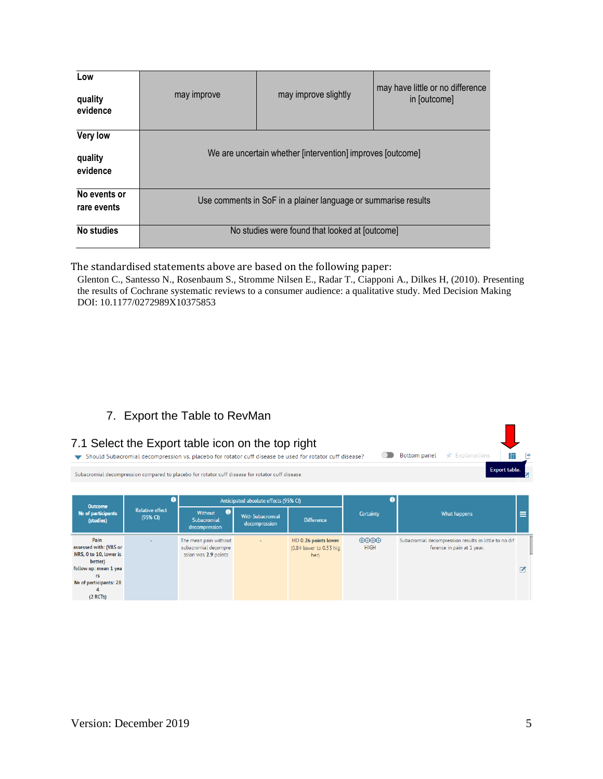| Low<br>quality<br>evidence      | may improve                                                    | may improve slightly                           | may have little or no difference<br>in [outcome] |  |  |  |  |
|---------------------------------|----------------------------------------------------------------|------------------------------------------------|--------------------------------------------------|--|--|--|--|
| Very low<br>quality<br>evidence | We are uncertain whether [intervention] improves [outcome]     |                                                |                                                  |  |  |  |  |
| No events or<br>rare events     | Use comments in SoF in a plainer language or summarise results |                                                |                                                  |  |  |  |  |
| No studies                      |                                                                | No studies were found that looked at [outcome] |                                                  |  |  |  |  |

The standardised statements above are based on the following paper:

Glenton C., Santesso N., Rosenbaum S., Stromme Nilsen E., Radar T., Ciapponi A., Dilkes H, (2010). Presenting the results of Cochrane systematic reviews to a consumer audience: a qualitative study. Med Decision Making DOI: 10.1177/0272989X10375853

# 7. Export the Table to RevMan

|                                                                                                                                          |                                         | 7.1 Select the Export table icon on the top right<br>Should Subacromial decompression vs. placebo for rotator cuff disease be used for rotator cuff disease? |                                                                                   |                                                         |                                              | <b>Bottom panel</b><br>$\star$ Explanations                                         |  |
|------------------------------------------------------------------------------------------------------------------------------------------|-----------------------------------------|--------------------------------------------------------------------------------------------------------------------------------------------------------------|-----------------------------------------------------------------------------------|---------------------------------------------------------|----------------------------------------------|-------------------------------------------------------------------------------------|--|
|                                                                                                                                          |                                         | Subacromial decompression compared to placebo for rotator cuff disease for rotator cuff disease                                                              |                                                                                   |                                                         |                                              | Export table.                                                                       |  |
| <b>Outcome</b><br>No of participants<br>(studies)                                                                                        | Ω<br><b>Relative effect</b><br>(95% CI) | $\bullet$<br>Without<br>Subacromial                                                                                                                          | Anticipated absolute effects (95% CI)<br><b>With Subacromial</b><br>decompression | <b>Difference</b>                                       | m<br><b>Certainty</b>                        | What happens                                                                        |  |
| Pain<br>assessed with: (VAS or<br>NRS, 0 to 10, lower is<br>better)<br>follow up: mean 1 yea<br>rs<br>No of participants: 28<br>(2 RCTs) |                                         | decompression<br>The mean pain without<br>subacromial decompre<br>ssion was 2.9 points                                                                       |                                                                                   | MD 0.26 points lower<br>(0.84 lower to 0.33 hig<br>her) | $\Theta \Theta \Theta \Theta$<br><b>HIGH</b> | Subacromial decompression results in little to no dif<br>ference in pain at 1 year. |  |